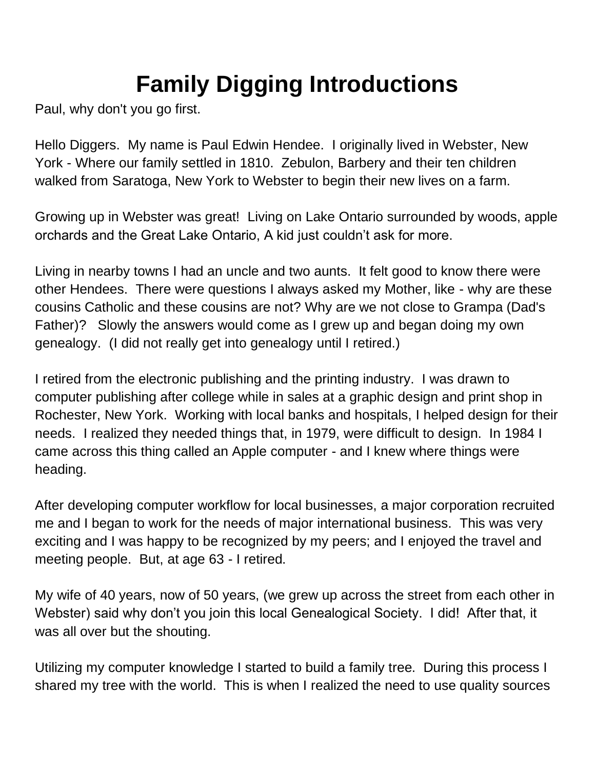## **Family Digging Introductions**

Paul, why don't you go first.

Hello Diggers. My name is Paul Edwin Hendee. I originally lived in Webster, New York - Where our family settled in 1810. Zebulon, Barbery and their ten children walked from Saratoga, New York to Webster to begin their new lives on a farm.

Growing up in Webster was great! Living on Lake Ontario surrounded by woods, apple orchards and the Great Lake Ontario, A kid just couldn't ask for more.

Living in nearby towns I had an uncle and two aunts. It felt good to know there were other Hendees. There were questions I always asked my Mother, like - why are these cousins Catholic and these cousins are not? Why are we not close to Grampa (Dad's Father)? Slowly the answers would come as I grew up and began doing my own genealogy. (I did not really get into genealogy until I retired.)

I retired from the electronic publishing and the printing industry. I was drawn to computer publishing after college while in sales at a graphic design and print shop in Rochester, New York. Working with local banks and hospitals, I helped design for their needs. I realized they needed things that, in 1979, were difficult to design. In 1984 I came across this thing called an Apple computer - and I knew where things were heading.

After developing computer workflow for local businesses, a major corporation recruited me and I began to work for the needs of major international business. This was very exciting and I was happy to be recognized by my peers; and I enjoyed the travel and meeting people. But, at age 63 - I retired.

My wife of 40 years, now of 50 years, (we grew up across the street from each other in Webster) said why don't you join this local Genealogical Society. I did! After that, it was all over but the shouting.

Utilizing my computer knowledge I started to build a family tree. During this process I shared my tree with the world. This is when I realized the need to use quality sources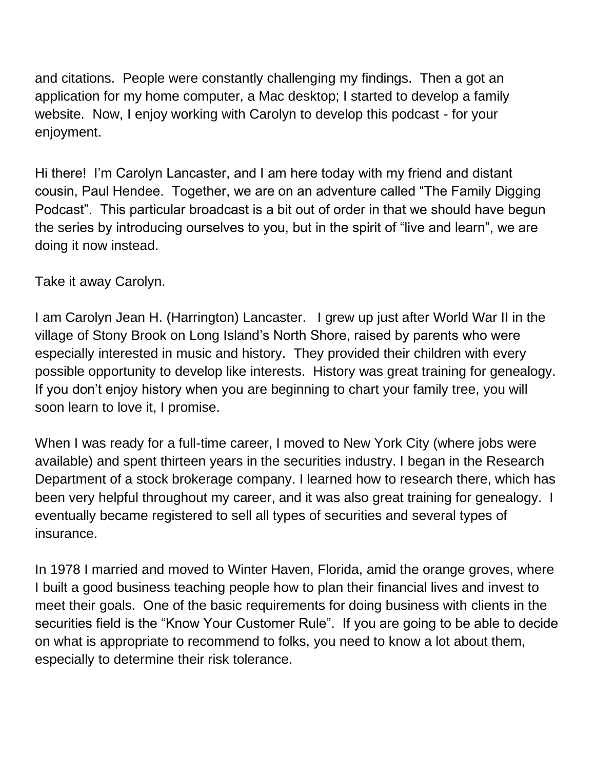and citations. People were constantly challenging my findings. Then a got an application for my home computer, a Mac desktop; I started to develop a family website. Now, I enjoy working with Carolyn to develop this podcast - for your enjoyment.

Hi there! I'm Carolyn Lancaster, and I am here today with my friend and distant cousin, Paul Hendee. Together, we are on an adventure called "The Family Digging Podcast". This particular broadcast is a bit out of order in that we should have begun the series by introducing ourselves to you, but in the spirit of "live and learn", we are doing it now instead.

Take it away Carolyn.

I am Carolyn Jean H. (Harrington) Lancaster. I grew up just after World War II in the village of Stony Brook on Long Island's North Shore, raised by parents who were especially interested in music and history. They provided their children with every possible opportunity to develop like interests. History was great training for genealogy. If you don't enjoy history when you are beginning to chart your family tree, you will soon learn to love it, I promise.

When I was ready for a full-time career, I moved to New York City (where jobs were available) and spent thirteen years in the securities industry. I began in the Research Department of a stock brokerage company. I learned how to research there, which has been very helpful throughout my career, and it was also great training for genealogy. I eventually became registered to sell all types of securities and several types of insurance.

In 1978 I married and moved to Winter Haven, Florida, amid the orange groves, where I built a good business teaching people how to plan their financial lives and invest to meet their goals. One of the basic requirements for doing business with clients in the securities field is the "Know Your Customer Rule". If you are going to be able to decide on what is appropriate to recommend to folks, you need to know a lot about them, especially to determine their risk tolerance.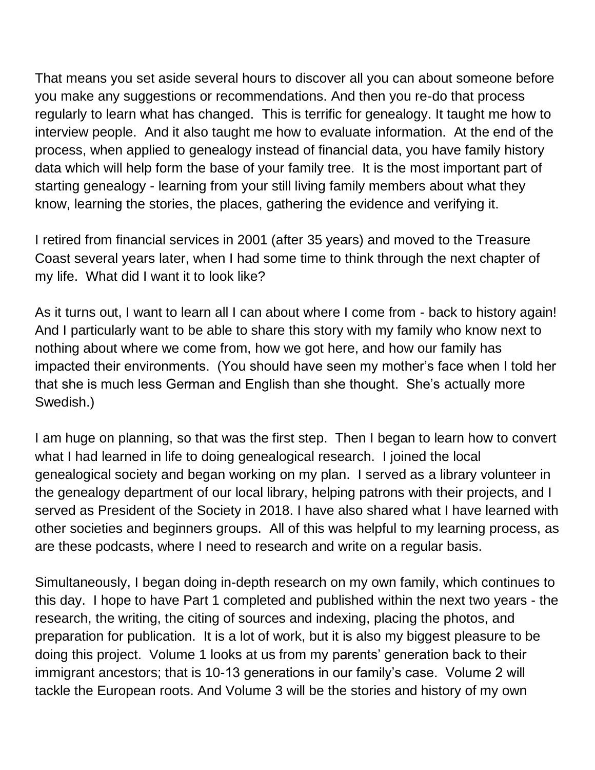That means you set aside several hours to discover all you can about someone before you make any suggestions or recommendations. And then you re-do that process regularly to learn what has changed. This is terrific for genealogy. It taught me how to interview people. And it also taught me how to evaluate information. At the end of the process, when applied to genealogy instead of financial data, you have family history data which will help form the base of your family tree. It is the most important part of starting genealogy - learning from your still living family members about what they know, learning the stories, the places, gathering the evidence and verifying it.

I retired from financial services in 2001 (after 35 years) and moved to the Treasure Coast several years later, when I had some time to think through the next chapter of my life. What did I want it to look like?

As it turns out, I want to learn all I can about where I come from - back to history again! And I particularly want to be able to share this story with my family who know next to nothing about where we come from, how we got here, and how our family has impacted their environments. (You should have seen my mother's face when I told her that she is much less German and English than she thought. She's actually more Swedish.)

I am huge on planning, so that was the first step. Then I began to learn how to convert what I had learned in life to doing genealogical research. I joined the local genealogical society and began working on my plan. I served as a library volunteer in the genealogy department of our local library, helping patrons with their projects, and I served as President of the Society in 2018. I have also shared what I have learned with other societies and beginners groups. All of this was helpful to my learning process, as are these podcasts, where I need to research and write on a regular basis.

Simultaneously, I began doing in-depth research on my own family, which continues to this day. I hope to have Part 1 completed and published within the next two years - the research, the writing, the citing of sources and indexing, placing the photos, and preparation for publication. It is a lot of work, but it is also my biggest pleasure to be doing this project. Volume 1 looks at us from my parents' generation back to their immigrant ancestors; that is 10-13 generations in our family's case. Volume 2 will tackle the European roots. And Volume 3 will be the stories and history of my own